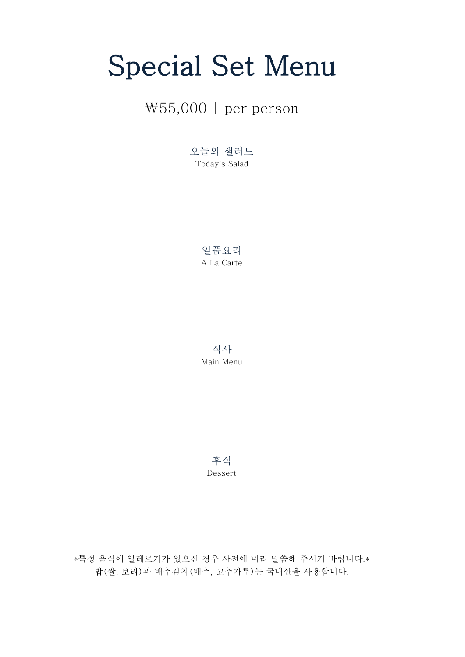# Special Set Menu

### ₩55,000 | per person

오늘의 샐러드 Today's Salad

> 일품요리 A La Carte

> 식사 Main Menu

후식 Dessert

밥(쌀, 보리)과 배추김치(배추, 고추가루)는 국내산을 사용합니다. \*특정 음식에 알레르기가 있으신 경우 사전에 미리 말씀해 주시기 바랍니다.\*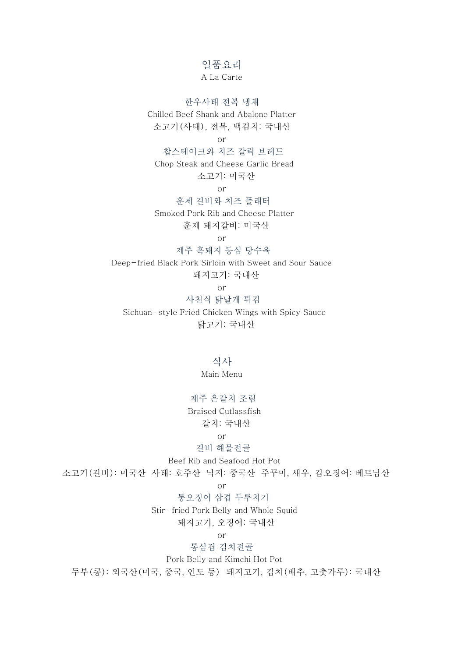#### 일품요리

#### A La Carte

한우사태 전복 냉채 Chilled Beef Shank and Abalone Platter 소고기(사태), 전복, 백김치: 국내산 or 찹스테이크와 치즈 갈릭 브레드 Chop Steak and Cheese Garlic Bread 소고기: 미국산 or 훈제 갈비와 치즈 플래터

 Smoked Pork Rib and Cheese Platter 훈제 돼지갈비: 미국산

or

 제주 흑돼지 등심 탕수육 Deep-fried Black Pork Sirloin with Sweet and Sour Sauce

돼지고기: 국내산

or

 사천식 닭날개 튀김 Sichuan-style Fried Chicken Wings with Spicy Sauce 닭고기: 국내산

> 식사 Main Menu

 제주 은갈치 조림 Braised Cutlassfish 갈치: 국내산

or

 갈비 해물전골 Beef Rib and Seafood Hot Pot 소고기(갈비): 미국산 사태: 호주산 낙지: 중국산 주꾸미, 새우, 갑오징어: 베트남산

or

통오징어 삼겹 두루치기

Stir-fried Pork Belly and Whole Squid

돼지고기, 오징어: 국내산

or

통삼겹 김치전골

Pork Belly and Kimchi Hot Pot

두부(콩): 외국산(미국, 중국, 인도 등) 돼지고기, 김치(배추, 고춧가루): 국내산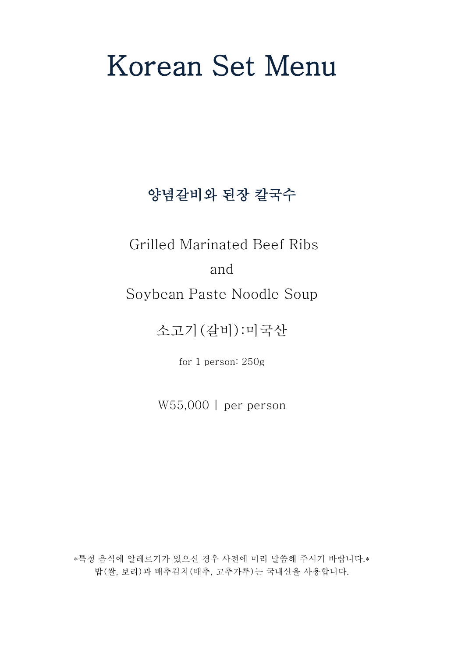# Korean Set Menu

## 양념갈비와 된장 칼국수

Grilled Marinated Beef Ribs

#### and

### Soybean Paste Noodle Soup

소고기(갈비):미국산

for 1 person: 250g

₩55,000 | per person

\*특정 음식에 알레르기가 있으신 경우 사전에 미리 말씀해 주시기 바랍니다.\* 밥(쌀, 보리)과 배추김치(배추, 고추가루)는 국내산을 사용합니다.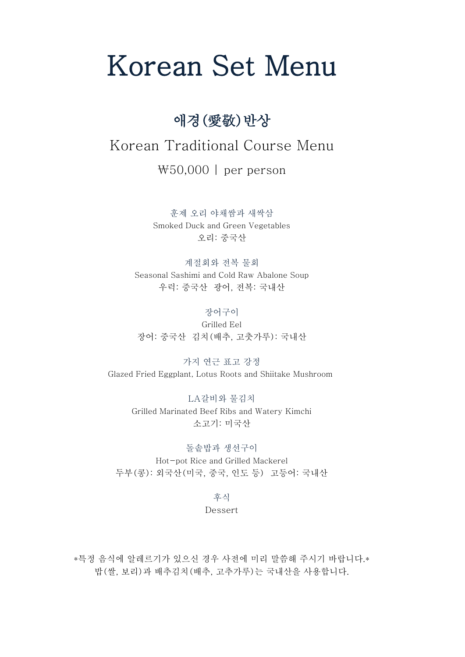# Korean Set Menu

### 애경(愛敬)반상

### Korean Traditional Course Menu

₩50,000 | per person

훈제 오리 야채쌈과 새싹삼 Smoked Duck and Green Vegetables 오리: 중국산

계절회와 전복 물회 Seasonal Sashimi and Cold Raw Abalone Soup 우럭: 중국산 광어, 전복: 국내산

장어구이 Grilled Eel 장어: 중국산 김치(배추, 고춧가루): 국내산

가지 연근 표고 강정 Glazed Fried Eggplant, Lotus Roots and Shiitake Mushroom

> LA갈비와 물김치 Grilled Marinated Beef Ribs and Watery Kimchi 소고기: 미국산

돌솥밥과 생선구이 Hot-pot Rice and Grilled Mackerel 두부(콩): 외국산(미국, 중국, 인도 등) 고등어: 국내산

후식

Dessert

\*특정 음식에 알레르기가 있으신 경우 사전에 미리 말씀해 주시기 바랍니다.\* 밥(쌀, 보리)과 배추김치(배추, 고추가루)는 국내산을 사용합니다.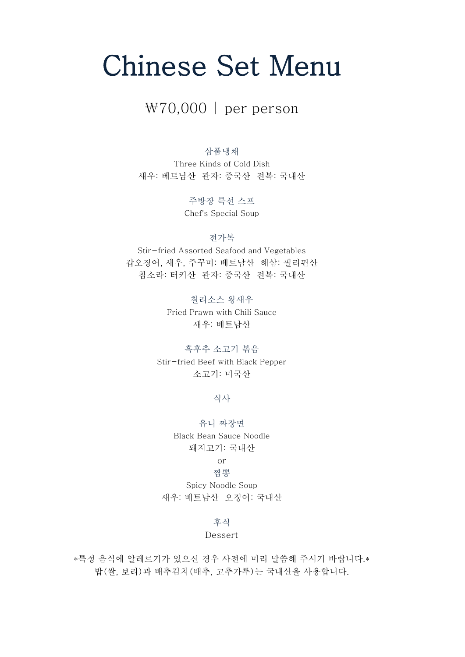# Chinese Set Menu

#### ₩70,000 | per person

삼품냉채

Three Kinds of Cold Dish 새우: 베트남산 관자: 중국산 전복: 국내산

> 주방장 특선 스프 Chef's Special Soup

> > 전가복

Stir-fried Assorted Seafood and Vegetables 갑오징어, 새우, 주꾸미: 베트남산 해삼: 필리핀산 참소라: 터키산 관자: 중국산 전복: 국내산

> 칠리소스 왕새우 Fried Prawn with Chili Sauce 새우: 베트남산

흑후추 소고기 볶음 Stir-fried Beef with Black Pepper 소고기: 미국산

식사

유니 짜장면 Black Bean Sauce Noodle 돼지고기: 국내산

#### or 짬뽕

Spicy Noodle Soup 새우: 베트남산 오징어: 국내산

#### 후식

#### Dessert

밥(쌀, 보리)과 배추김치(배추, 고추가루)는 국내산을 사용합니다. \*특정 음식에 알레르기가 있으신 경우 사전에 미리 말씀해 주시기 바랍니다.\*